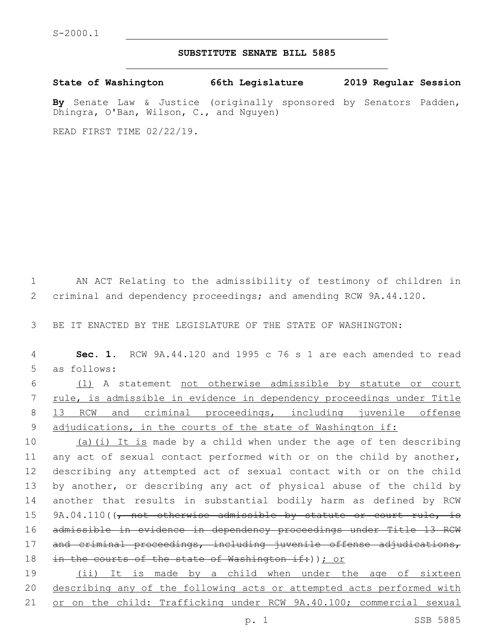## **SUBSTITUTE SENATE BILL 5885**

**State of Washington 66th Legislature 2019 Regular Session**

**By** Senate Law & Justice (originally sponsored by Senators Padden, Dhingra, O'Ban, Wilson, C., and Nguyen)

READ FIRST TIME 02/22/19.

 criminal and dependency proceedings; and amending RCW 9A.44.120. BE IT ENACTED BY THE LEGISLATURE OF THE STATE OF WASHINGTON: **Sec. 1.** RCW 9A.44.120 and 1995 c 76 s 1 are each amended to read 5 as follows: (1) A statement not otherwise admissible by statute or court rule, is admissible in evidence in dependency proceedings under Title 13 RCW and criminal proceedings, including juvenile offense 9 adjudications, in the courts of the state of Washington if:

1 AN ACT Relating to the admissibility of testimony of children in

10 (a)(i) It is made by a child when under the age of ten describing 11 any act of sexual contact performed with or on the child by another, 12 describing any attempted act of sexual contact with or on the child 13 by another, or describing any act of physical abuse of the child by 14 another that results in substantial bodily harm as defined by RCW 15 9A.04.110((, not otherwise admissible by statute or court rule, is 16 admissible in evidence in dependency proceedings under Title 13 RCW 17 and criminal proceedings, including juvenile offense adjudications, 18 in the courts of the state of Washington if: )); or

19 (ii) It is made by a child when under the age of sixteen 20 describing any of the following acts or attempted acts performed with 21 or on the child: Trafficking under RCW 9A.40.100; commercial sexual